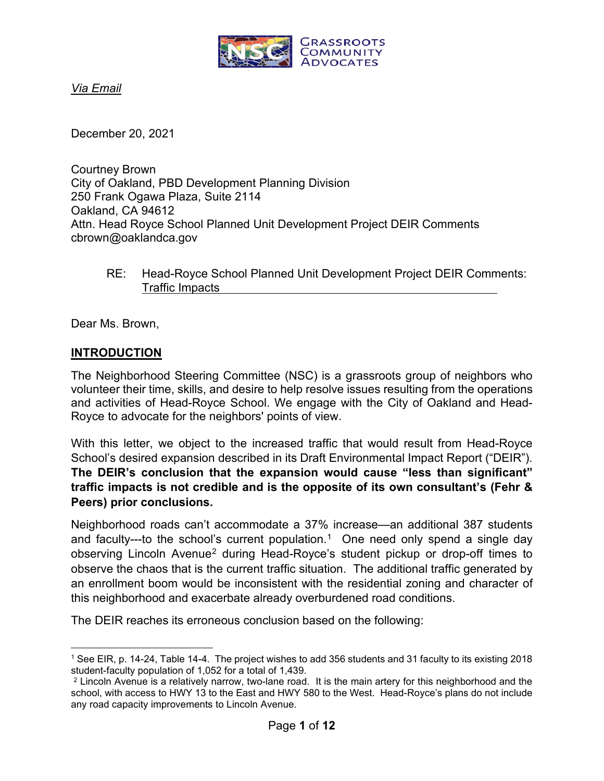

*Via Email*

December 20, 2021

Courtney Brown City of Oakland, PBD Development Planning Division 250 Frank Ogawa Plaza, Suite 2114 Oakland, CA 94612 Attn. Head Royce School Planned Unit Development Project DEIR Comments cbrown@oaklandca.gov

RE: Head-Royce School Planned Unit Development Project DEIR Comments: Traffic Impacts

Dear Ms. Brown,

#### **INTRODUCTION**

The Neighborhood Steering Committee (NSC) is a grassroots group of neighbors who volunteer their time, skills, and desire to help resolve issues resulting from the operations and activities of Head-Royce School. We engage with the City of Oakland and Head-Royce to advocate for the neighbors' points of view.

With this letter, we object to the increased traffic that would result from Head-Royce School's desired expansion described in its Draft Environmental Impact Report ("DEIR"). **The DEIR's conclusion that the expansion would cause "less than significant" traffic impacts is not credible and is the opposite of its own consultant's (Fehr & Peers) prior conclusions.**

Neighborhood roads can't accommodate a 37% increase—an additional 387 students and faculty---to the school's current population.<sup>[1](#page-0-0)</sup> One need only spend a single day observing Lincoln Avenue<sup>[2](#page-0-1)</sup> during Head-Royce's student pickup or drop-off times to observe the chaos that is the current traffic situation. The additional traffic generated by an enrollment boom would be inconsistent with the residential zoning and character of this neighborhood and exacerbate already overburdened road conditions.

The DEIR reaches its erroneous conclusion based on the following:

<span id="page-0-0"></span><sup>1</sup> See EIR, p. 14-24, Table 14-4. The project wishes to add 356 students and 31 faculty to its existing 2018 student-faculty population of 1,052 for a total of 1,439.

<span id="page-0-1"></span><sup>&</sup>lt;sup>2</sup> Lincoln Avenue is a relatively narrow, two-lane road. It is the main artery for this neighborhood and the school, with access to HWY 13 to the East and HWY 580 to the West. Head-Royce's plans do not include any road capacity improvements to Lincoln Avenue.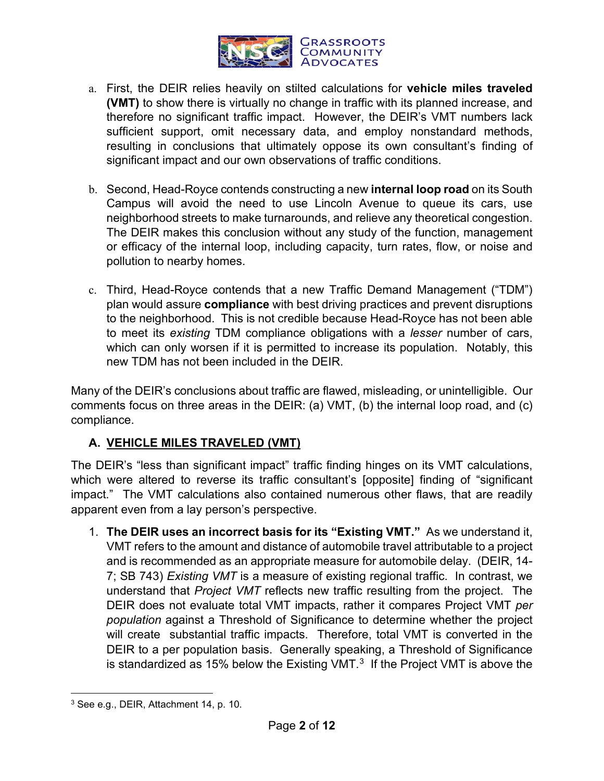

- a. First, the DEIR relies heavily on stilted calculations for **vehicle miles traveled (VMT)** to show there is virtually no change in traffic with its planned increase, and therefore no significant traffic impact. However, the DEIR's VMT numbers lack sufficient support, omit necessary data, and employ nonstandard methods, resulting in conclusions that ultimately oppose its own consultant's finding of significant impact and our own observations of traffic conditions.
- b. Second, Head-Royce contends constructing a new **internal loop road** on its South Campus will avoid the need to use Lincoln Avenue to queue its cars, use neighborhood streets to make turnarounds, and relieve any theoretical congestion. The DEIR makes this conclusion without any study of the function, management or efficacy of the internal loop, including capacity, turn rates, flow, or noise and pollution to nearby homes.
- c. Third, Head-Royce contends that a new Traffic Demand Management ("TDM") plan would assure **compliance** with best driving practices and prevent disruptions to the neighborhood. This is not credible because Head-Royce has not been able to meet its *existing* TDM compliance obligations with a *lesser* number of cars, which can only worsen if it is permitted to increase its population. Notably, this new TDM has not been included in the DEIR.

Many of the DEIR's conclusions about traffic are flawed, misleading, or unintelligible. Our comments focus on three areas in the DEIR: (a) VMT, (b) the internal loop road, and (c) compliance.

# **A. VEHICLE MILES TRAVELED (VMT)**

The DEIR's "less than significant impact" traffic finding hinges on its VMT calculations, which were altered to reverse its traffic consultant's [opposite] finding of "significant impact." The VMT calculations also contained numerous other flaws, that are readily apparent even from a lay person's perspective.

1. **The DEIR uses an incorrect basis for its "Existing VMT."** As we understand it, VMT refers to the amount and distance of automobile travel attributable to a project and is recommended as an appropriate measure for automobile delay. (DEIR, 14- 7; SB 743) *Existing VMT* is a measure of existing regional traffic. In contrast, we understand that *Project VMT* reflects new traffic resulting from the project. The DEIR does not evaluate total VMT impacts, rather it compares Project VMT *per population* against a Threshold of Significance to determine whether the project will create substantial traffic impacts. Therefore, total VMT is converted in the DEIR to a per population basis. Generally speaking, a Threshold of Significance is standardized as 15% below the Existing VMT. $^3\,$  $^3\,$  $^3\,$  If the Project VMT is above the

<span id="page-1-0"></span><sup>3</sup> See e.g., DEIR, Attachment 14, p. 10.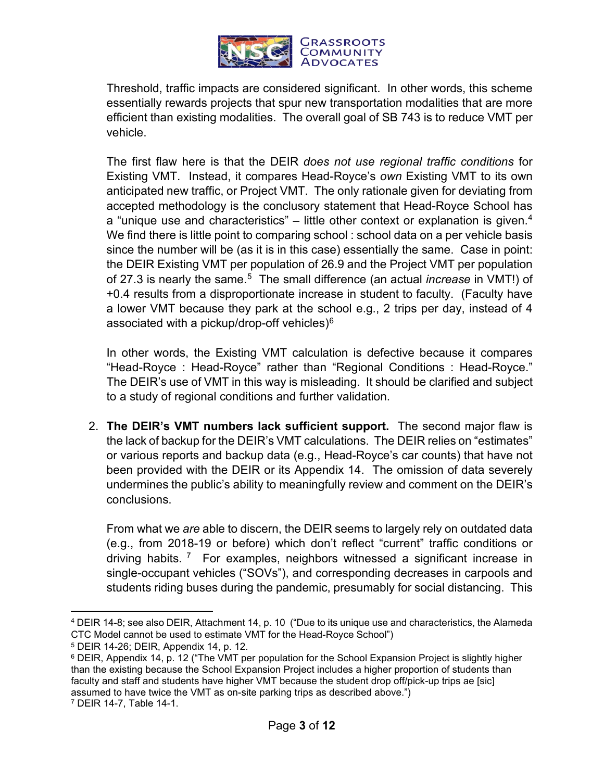

Threshold, traffic impacts are considered significant. In other words, this scheme essentially rewards projects that spur new transportation modalities that are more efficient than existing modalities. The overall goal of SB 743 is to reduce VMT per vehicle.

The first flaw here is that the DEIR *does not use regional traffic conditions* for Existing VMT. Instead, it compares Head-Royce's *own* Existing VMT to its own anticipated new traffic, or Project VMT. The only rationale given for deviating from accepted methodology is the conclusory statement that Head-Royce School has a "unique use and characteristics" – little other context or explanation is given.<sup>[4](#page-2-0)</sup> We find there is little point to comparing school : school data on a per vehicle basis since the number will be (as it is in this case) essentially the same. Case in point: the DEIR Existing VMT per population of 26.9 and the Project VMT per population of 27.3 is nearly the same. [5](#page-2-1) The small difference (an actual *increase* in VMT!) of +0.4 results from a disproportionate increase in student to faculty. (Faculty have a lower VMT because they park at the school e.g., 2 trips per day, instead of 4 associated with a pickup/drop-off vehicles)<sup>[6](#page-2-2)</sup>

In other words, the Existing VMT calculation is defective because it compares "Head-Royce : Head-Royce" rather than "Regional Conditions : Head-Royce." The DEIR's use of VMT in this way is misleading. It should be clarified and subject to a study of regional conditions and further validation.

2. **The DEIR's VMT numbers lack sufficient support.** The second major flaw is the lack of backup for the DEIR's VMT calculations. The DEIR relies on "estimates" or various reports and backup data (e.g., Head-Royce's car counts) that have not been provided with the DEIR or its Appendix 14. The omission of data severely undermines the public's ability to meaningfully review and comment on the DEIR's conclusions.

From what we *are* able to discern, the DEIR seems to largely rely on outdated data (e.g., from 2018-19 or before) which don't reflect "current" traffic conditions or driving habits.  $7$  For examples, neighbors witnessed a significant increase in single-occupant vehicles ("SOVs"), and corresponding decreases in carpools and students riding buses during the pandemic, presumably for social distancing. This

<span id="page-2-0"></span><sup>4</sup> DEIR 14-8; see also DEIR, Attachment 14, p. 10 ("Due to its unique use and characteristics, the Alameda CTC Model cannot be used to estimate VMT for the Head-Royce School")

<span id="page-2-1"></span><sup>5</sup> DEIR 14-26; DEIR, Appendix 14, p. 12.

<span id="page-2-2"></span><sup>6</sup> DEIR, Appendix 14, p. 12 ("The VMT per population for the School Expansion Project is slightly higher than the existing because the School Expansion Project includes a higher proportion of students than faculty and staff and students have higher VMT because the student drop off/pick-up trips ae [sic] assumed to have twice the VMT as on-site parking trips as described above.")

<span id="page-2-3"></span><sup>7</sup> DEIR 14-7, Table 14-1.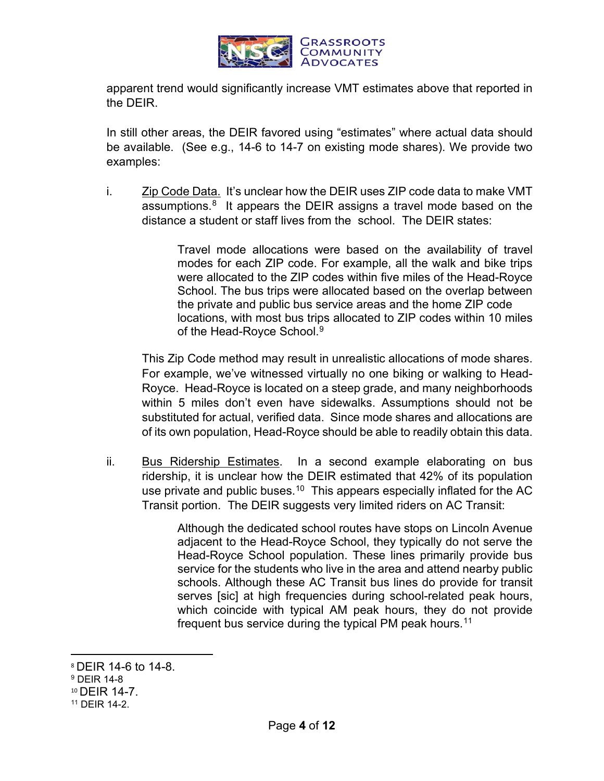

apparent trend would significantly increase VMT estimates above that reported in the DEIR.

In still other areas, the DEIR favored using "estimates" where actual data should be available. (See e.g., 14-6 to 14-7 on existing mode shares). We provide two examples:

i. Zip Code Data. It's unclear how the DEIR uses ZIP code data to make VMT assumptions. $8$  It appears the DEIR assigns a travel mode based on the distance a student or staff lives from the school. The DEIR states:

> Travel mode allocations were based on the availability of travel modes for each ZIP code. For example, all the walk and bike trips were allocated to the ZIP codes within five miles of the Head-Royce School. The bus trips were allocated based on the overlap between the private and public bus service areas and the home ZIP code locations, with most bus trips allocated to ZIP codes within 10 miles of the Head-Royce School.<sup>[9](#page-3-1)</sup>

This Zip Code method may result in unrealistic allocations of mode shares. For example, we've witnessed virtually no one biking or walking to Head-Royce. Head-Royce is located on a steep grade, and many neighborhoods within 5 miles don't even have sidewalks. Assumptions should not be substituted for actual, verified data. Since mode shares and allocations are of its own population, Head-Royce should be able to readily obtain this data.

ii. Bus Ridership Estimates. In a second example elaborating on bus ridership, it is unclear how the DEIR estimated that 42% of its population use private and public buses. $^{\mathsf{10}}$  This appears especially inflated for the AC Transit portion. The DEIR suggests very limited riders on AC Transit:

> Although the dedicated school routes have stops on Lincoln Avenue adjacent to the Head-Royce School, they typically do not serve the Head-Royce School population. These lines primarily provide bus service for the students who live in the area and attend nearby public schools. Although these AC Transit bus lines do provide for transit serves [sic] at high frequencies during school-related peak hours, which coincide with typical AM peak hours, they do not provide frequent bus service during the typical PM peak hours.<sup>[11](#page-3-3)</sup>

<span id="page-3-0"></span><sup>8</sup> DEIR 14-6 to 14-8.

<span id="page-3-1"></span><sup>9</sup> DEIR 14-8

<span id="page-3-2"></span><sup>10</sup> DEIR 14-7.

<span id="page-3-3"></span><sup>11</sup> DEIR 14-2.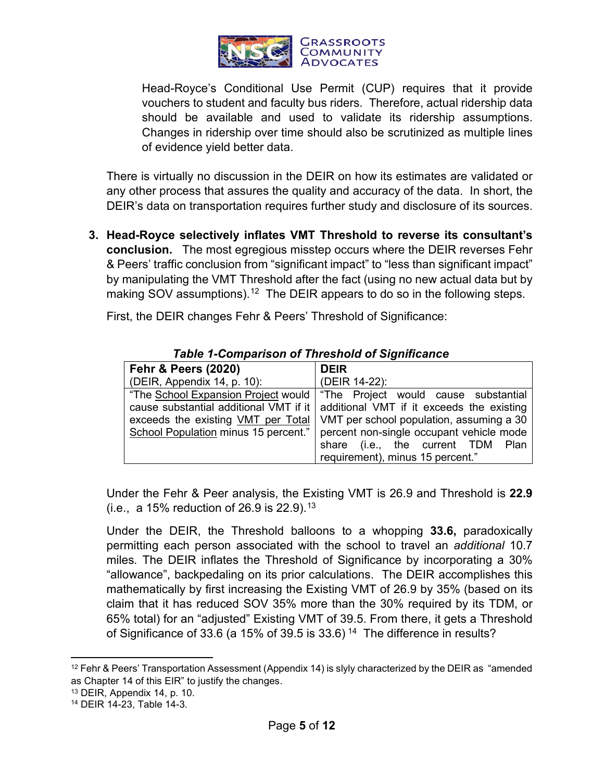

Head-Royce's Conditional Use Permit (CUP) requires that it provide vouchers to student and faculty bus riders. Therefore, actual ridership data should be available and used to validate its ridership assumptions. Changes in ridership over time should also be scrutinized as multiple lines of evidence yield better data.

There is virtually no discussion in the DEIR on how its estimates are validated or any other process that assures the quality and accuracy of the data. In short, the DEIR's data on transportation requires further study and disclosure of its sources.

**3. Head-Royce selectively inflates VMT Threshold to reverse its consultant's conclusion.** The most egregious misstep occurs where the DEIR reverses Fehr & Peers' traffic conclusion from "significant impact" to "less than significant impact" by manipulating the VMT Threshold after the fact (using no new actual data but by making SOV assumptions).<sup>[12](#page-4-0)</sup> The DEIR appears to do so in the following steps.

First, the DEIR changes Fehr & Peers' Threshold of Significance:

| <b>Fehr &amp; Peers (2020)</b>       | <b>DEIR</b>                                                                              |
|--------------------------------------|------------------------------------------------------------------------------------------|
| (DEIR, Appendix $14$ , p. $10$ ):    | $\vert$ (DEIR 14-22):                                                                    |
|                                      | "The School Expansion Project would   "The Project would cause substantial               |
|                                      | cause substantial additional VMT if it $\vert$ additional VMT if it exceeds the existing |
|                                      | exceeds the existing VMT per Total   VMT per school population, assuming a 30            |
| School Population minus 15 percent." | percent non-single occupant vehicle mode                                                 |
|                                      | share (i.e., the current TDM Plan                                                        |
|                                      | requirement), minus 15 percent."                                                         |

### *Table 1-Comparison of Threshold of Significance*

Under the Fehr & Peer analysis, the Existing VMT is 26.9 and Threshold is **22.9** (i.e.,  $\,$  a 15% reduction of 26.9 is 22.9).<sup>[13](#page-4-1)</sup>

Under the DEIR, the Threshold balloons to a whopping **33.6,** paradoxically permitting each person associated with the school to travel an *additional* 10.7 miles*.* The DEIR inflates the Threshold of Significance by incorporating a 30% "allowance", backpedaling on its prior calculations. The DEIR accomplishes this mathematically by first increasing the Existing VMT of 26.9 by 35% (based on its claim that it has reduced SOV 35% more than the 30% required by its TDM, or 65% total) for an "adjusted" Existing VMT of 39.5. From there, it gets a Threshold of Significance of 33.6 (a 15% of 39.5 is 33.6)<sup>14</sup> The difference in results?

<span id="page-4-0"></span> $12$  Fehr & Peers' Transportation Assessment (Appendix 14) is slyly characterized by the DEIR as "amended as Chapter 14 of this EIR" to justify the changes.

<span id="page-4-1"></span><sup>13</sup> DEIR, Appendix 14, p. 10.

<span id="page-4-2"></span><sup>14</sup> DEIR 14-23, Table 14-3.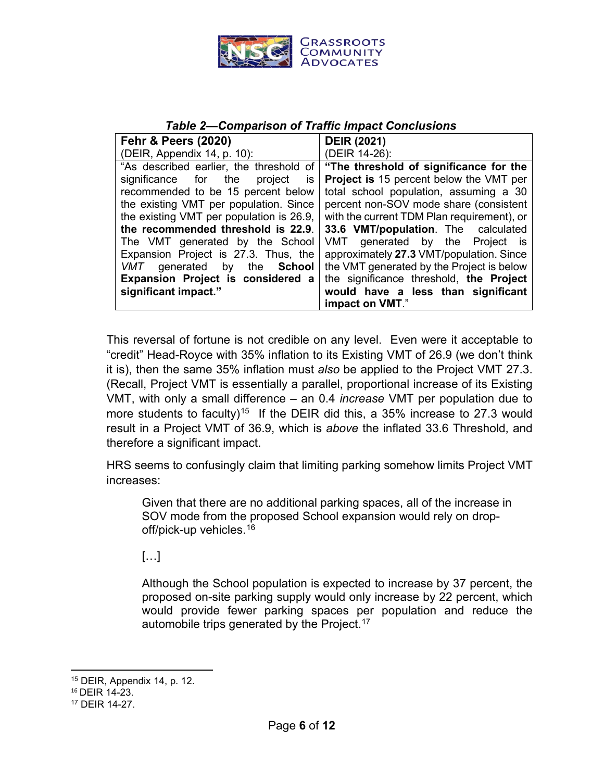

### *Table 2—Comparison of Traffic Impact Conclusions*

| <b>Fehr &amp; Peers (2020)</b>           | <b>DEIR (2021)</b>                             |
|------------------------------------------|------------------------------------------------|
| (DEIR, Appendix 14, p. 10):              | (DEIR 14-26):                                  |
| "As described earlier, the threshold of  | "The threshold of significance for the         |
| significance for the project<br>İS       | <b>Project is 15 percent below the VMT per</b> |
| recommended to be 15 percent below       | total school population, assuming a 30         |
| the existing VMT per population. Since   | percent non-SOV mode share (consistent         |
| the existing VMT per population is 26.9, | with the current TDM Plan requirement), or     |
| the recommended threshold is 22.9.       | 33.6 VMT/population. The calculated            |
| The VMT generated by the School          | VMT generated by the Project is                |
| Expansion Project is 27.3. Thus, the     | approximately 27.3 VMT/population. Since       |
| generated by the <b>School</b><br>VMT    | the VMT generated by the Project is below      |
| Expansion Project is considered a        | the significance threshold, the Project        |
| significant impact."                     | would have a less than significant             |
|                                          | impact on VMT."                                |

This reversal of fortune is not credible on any level. Even were it acceptable to "credit" Head-Royce with 35% inflation to its Existing VMT of 26.9 (we don't think it is), then the same 35% inflation must *also* be applied to the Project VMT 27.3. (Recall, Project VMT is essentially a parallel, proportional increase of its Existing VMT, with only a small difference – an 0.4 *increase* VMT per population due to more students to faculty)<sup>15</sup> If the DEIR did this, a 35% increase to 27.3 would result in a Project VMT of 36.9, which is *above* the inflated 33.6 Threshold, and therefore a significant impact.

HRS seems to confusingly claim that limiting parking somehow limits Project VMT increases:

Given that there are no additional parking spaces, all of the increase in SOV mode from the proposed School expansion would rely on dropoff/pick-up vehicles.[16](#page-5-1)

[…]

Although the School population is expected to increase by 37 percent, the proposed on-site parking supply would only increase by 22 percent, which would provide fewer parking spaces per population and reduce the automobile trips generated by the Project.<sup>17</sup>

<span id="page-5-0"></span><sup>15</sup> DEIR, Appendix 14, p. 12.

<span id="page-5-1"></span><sup>16</sup> DEIR 14-23.

<span id="page-5-2"></span><sup>17</sup> DEIR 14-27.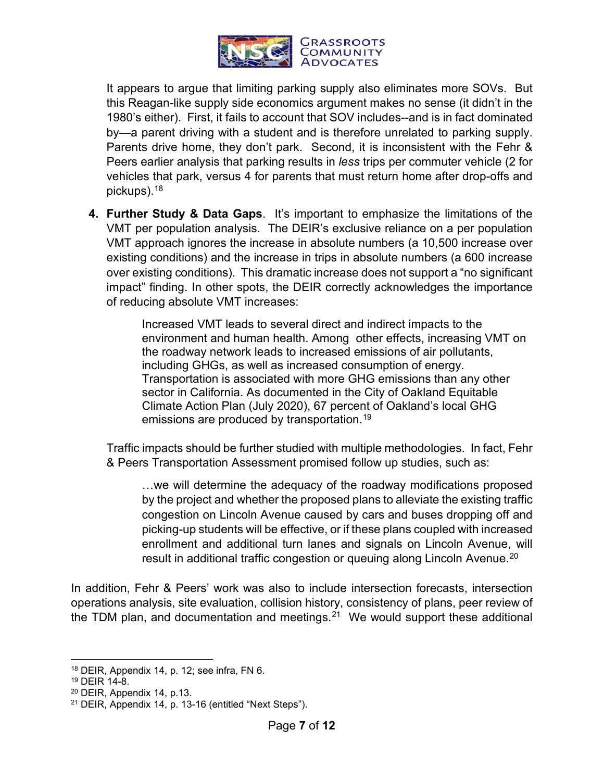

It appears to argue that limiting parking supply also eliminates more SOVs. But this Reagan-like supply side economics argument makes no sense (it didn't in the 1980's either). First, it fails to account that SOV includes--and is in fact dominated by—a parent driving with a student and is therefore unrelated to parking supply. Parents drive home, they don't park. Second, it is inconsistent with the Fehr & Peers earlier analysis that parking results in *less* trips per commuter vehicle (2 for vehicles that park, versus 4 for parents that must return home after drop-offs and pickups).<sup>18</sup>

**4. Further Study & Data Gaps**. It's important to emphasize the limitations of the VMT per population analysis. The DEIR's exclusive reliance on a per population VMT approach ignores the increase in absolute numbers (a 10,500 increase over existing conditions) and the increase in trips in absolute numbers (a 600 increase over existing conditions).This dramatic increase does not support a "no significant impact" finding. In other spots, the DEIR correctly acknowledges the importance of reducing absolute VMT increases:

> Increased VMT leads to several direct and indirect impacts to the environment and human health. Among other effects, increasing VMT on the roadway network leads to increased emissions of air pollutants, including GHGs, as well as increased consumption of energy. Transportation is associated with more GHG emissions than any other sector in California. As documented in the City of Oakland Equitable Climate Action Plan (July 2020), 67 percent of Oakland's local GHG emissions are produced by transportation.<sup>[19](#page-6-1)</sup>

Traffic impacts should be further studied with multiple methodologies. In fact, Fehr & Peers Transportation Assessment promised follow up studies, such as:

…we will determine the adequacy of the roadway modifications proposed by the project and whether the proposed plans to alleviate the existing traffic congestion on Lincoln Avenue caused by cars and buses dropping off and picking-up students will be effective, or if these plans coupled with increased enrollment and additional turn lanes and signals on Lincoln Avenue, will result in additional traffic congestion or queuing along Lincoln Avenue.<sup>[20](#page-6-2)</sup>

In addition, Fehr & Peers' work was also to include intersection forecasts, intersection operations analysis, site evaluation, collision history, consistency of plans, peer review of the TDM plan, and documentation and meetings. $21$  We would support these additional

<span id="page-6-0"></span><sup>18</sup> DEIR, Appendix 14, p. 12; see infra, FN 6.

<span id="page-6-1"></span><sup>19</sup> DEIR 14-8.

<span id="page-6-2"></span><sup>20</sup> DEIR, Appendix 14, p.13.

<span id="page-6-3"></span><sup>21</sup> DEIR, Appendix 14, p. 13-16 (entitled "Next Steps").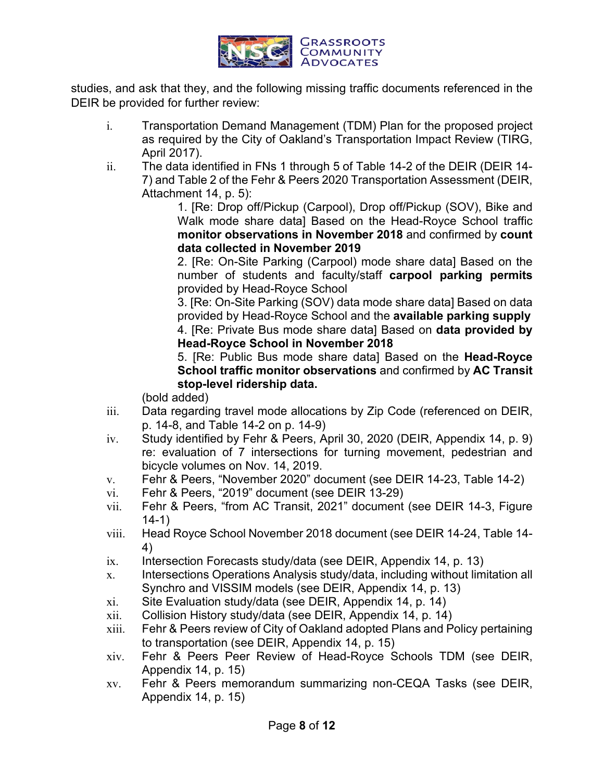

studies, and ask that they, and the following missing traffic documents referenced in the DEIR be provided for further review:

- i. Transportation Demand Management (TDM) Plan for the proposed project as required by the City of Oakland's Transportation Impact Review (TIRG, April 2017).
- ii. The data identified in FNs 1 through 5 of Table 14-2 of the DEIR (DEIR 14- 7) and Table 2 of the Fehr & Peers 2020 Transportation Assessment (DEIR, Attachment 14, p. 5):

1. [Re: Drop off/Pickup (Carpool), Drop off/Pickup (SOV), Bike and Walk mode share data] Based on the Head-Royce School traffic **monitor observations in November 2018** and confirmed by **count data collected in November 2019**

2. [Re: On-Site Parking (Carpool) mode share data] Based on the number of students and faculty/staff **carpool parking permits** provided by Head-Royce School

3. [Re: On-Site Parking (SOV) data mode share data] Based on data provided by Head-Royce School and the **available parking supply** 4. [Re: Private Bus mode share data] Based on **data provided by Head-Royce School in November 2018**

5. [Re: Public Bus mode share data] Based on the **Head-Royce School traffic monitor observations** and confirmed by **AC Transit stop-level ridership data.**

(bold added)

- iii. Data regarding travel mode allocations by Zip Code (referenced on DEIR, p. 14-8, and Table 14-2 on p. 14-9)
- iv. Study identified by Fehr & Peers, April 30, 2020 (DEIR, Appendix 14, p. 9) re: evaluation of 7 intersections for turning movement, pedestrian and bicycle volumes on Nov. 14, 2019.
- v. Fehr & Peers, "November 2020" document (see DEIR 14-23, Table 14-2)
- vi. Fehr & Peers, "2019" document (see DEIR 13-29)
- vii. Fehr & Peers, "from AC Transit, 2021" document (see DEIR 14-3, Figure 14-1)
- viii. Head Royce School November 2018 document (see DEIR 14-24, Table 14- 4)
- ix. Intersection Forecasts study/data (see DEIR, Appendix 14, p. 13)
- x. Intersections Operations Analysis study/data, including without limitation all Synchro and VISSIM models (see DEIR, Appendix 14, p. 13)
- xi. Site Evaluation study/data (see DEIR, Appendix 14, p. 14)
- xii. Collision History study/data (see DEIR, Appendix 14, p. 14)
- xiii. Fehr & Peers review of City of Oakland adopted Plans and Policy pertaining to transportation (see DEIR, Appendix 14, p. 15)
- xiv. Fehr & Peers Peer Review of Head-Royce Schools TDM (see DEIR, Appendix 14, p. 15)
- xv. Fehr & Peers memorandum summarizing non-CEQA Tasks (see DEIR, Appendix 14, p. 15)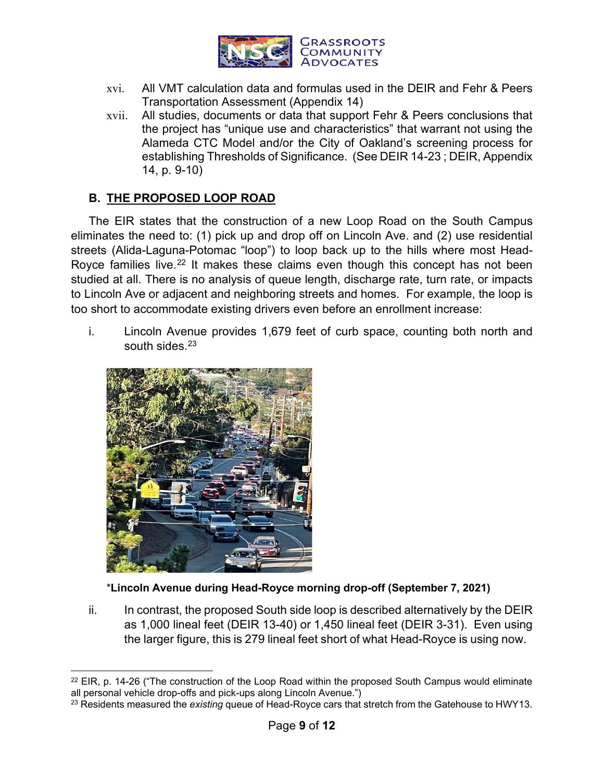

- xvi. All VMT calculation data and formulas used in the DEIR and Fehr & Peers Transportation Assessment (Appendix 14)
- xvii. All studies, documents or data that support Fehr & Peers conclusions that the project has "unique use and characteristics" that warrant not using the Alameda CTC Model and/or the City of Oakland's screening process for establishing Thresholds of Significance. (See DEIR 14-23 ; DEIR, Appendix 14, p. 9-10)

# **B. THE PROPOSED LOOP ROAD**

The EIR states that the construction of a new Loop Road on the South Campus eliminates the need to: (1) pick up and drop off on Lincoln Ave. and (2) use residential streets (Alida-Laguna-Potomac "loop") to loop back up to the hills where most Head-Royce families live.<sup>[22](#page-8-0)</sup> It makes these claims even though this concept has not been studied at all. There is no analysis of queue length, discharge rate, turn rate, or impacts to Lincoln Ave or adjacent and neighboring streets and homes. For example, the loop is too short to accommodate existing drivers even before an enrollment increase:

i. Lincoln Avenue provides 1,679 feet of curb space, counting both north and south sides.<sup>[23](#page-8-1)</sup>



## \***Lincoln Avenue during Head-Royce morning drop-off (September 7, 2021)**

 $ii.$  In contrast, the proposed South side loop is described alternatively by the DEIR as 1,000 lineal feet (DEIR 13-40) or 1,450 lineal feet (DEIR 3-31). Even using the larger figure, this is 279 lineal feet short of what Head-Royce is using now.

<span id="page-8-0"></span> $22$  EIR, p. 14-26 ("The construction of the Loop Road within the proposed South Campus would eliminate all personal vehicle drop-offs and pick-ups along Lincoln Avenue.")

<span id="page-8-1"></span><sup>23</sup> Residents measured the *existing* queue of Head-Royce cars that stretch from the Gatehouse to HWY13.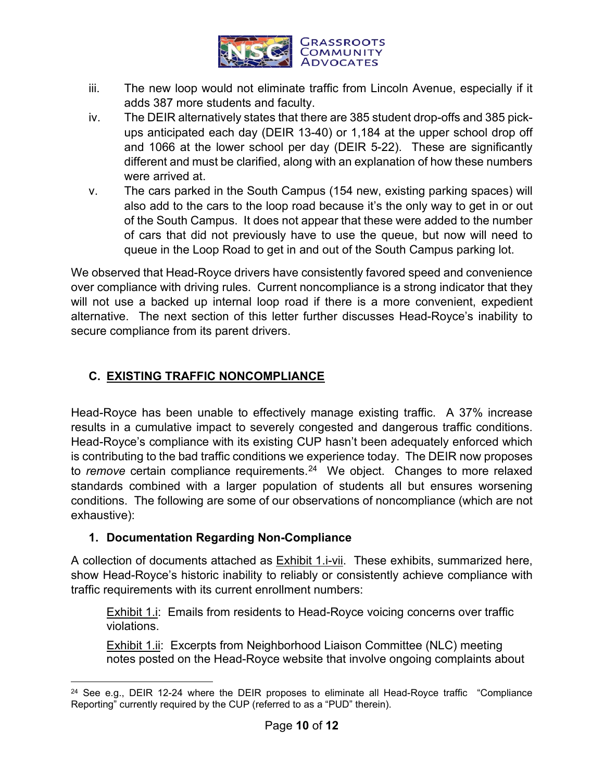

- iii. The new loop would not eliminate traffic from Lincoln Avenue, especially if it adds 387 more students and faculty.
- iv. The DEIR alternatively states that there are 385 student drop-offs and 385 pickups anticipated each day (DEIR 13-40) or 1,184 at the upper school drop off and 1066 at the lower school per day (DEIR 5-22). These are significantly different and must be clarified, along with an explanation of how these numbers were arrived at.
- v. The cars parked in the South Campus (154 new, existing parking spaces) will also add to the cars to the loop road because it's the only way to get in or out of the South Campus. It does not appear that these were added to the number of cars that did not previously have to use the queue, but now will need to queue in the Loop Road to get in and out of the South Campus parking lot.

We observed that Head-Royce drivers have consistently favored speed and convenience over compliance with driving rules. Current noncompliance is a strong indicator that they will not use a backed up internal loop road if there is a more convenient, expedient alternative. The next section of this letter further discusses Head-Royce's inability to secure compliance from its parent drivers.

# **C. EXISTING TRAFFIC NONCOMPLIANCE**

Head-Royce has been unable to effectively manage existing traffic. A 37% increase results in a cumulative impact to severely congested and dangerous traffic conditions. Head-Royce's compliance with its existing CUP hasn't been adequately enforced which is contributing to the bad traffic conditions we experience today. The DEIR now proposes to *remove* certain compliance requirements. [24](#page-9-0) We object. Changes to more relaxed standards combined with a larger population of students all but ensures worsening conditions. The following are some of our observations of noncompliance (which are not exhaustive):

## **1. Documentation Regarding Non-Compliance**

A collection of documents attached as Exhibit 1.i-vii. These exhibits, summarized here, show Head-Royce's historic inability to reliably or consistently achieve compliance with traffic requirements with its current enrollment numbers:

Exhibit 1.i: Emails from residents to Head-Royce voicing concerns over traffic violations.

Exhibit 1.ii: Excerpts from Neighborhood Liaison Committee (NLC) meeting notes posted on the Head-Royce website that involve ongoing complaints about

<span id="page-9-0"></span><sup>&</sup>lt;sup>24</sup> See e.g., DEIR 12-24 where the DEIR proposes to eliminate all Head-Royce traffic "Compliance Reporting" currently required by the CUP (referred to as a "PUD" therein).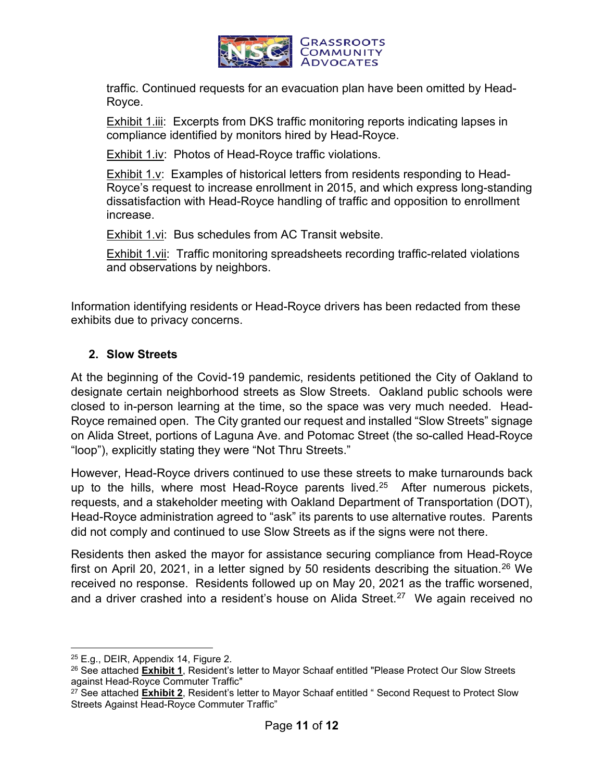

traffic. Continued requests for an evacuation plan have been omitted by Head-Royce.

Exhibit 1.iii: Excerpts from DKS traffic monitoring reports indicating lapses in compliance identified by monitors hired by Head-Royce.

Exhibit 1.iv: Photos of Head-Royce traffic violations.

Exhibit 1.v: Examples of historical letters from residents responding to Head-Royce's request to increase enrollment in 2015, and which express long-standing dissatisfaction with Head-Royce handling of traffic and opposition to enrollment increase.

Exhibit 1.vi: Bus schedules from AC Transit website.

Exhibit 1.vii: Traffic monitoring spreadsheets recording traffic-related violations and observations by neighbors.

Information identifying residents or Head-Royce drivers has been redacted from these exhibits due to privacy concerns.

# **2. Slow Streets**

At the beginning of the Covid-19 pandemic, residents petitioned the City of Oakland to designate certain neighborhood streets as Slow Streets. Oakland public schools were closed to in-person learning at the time, so the space was very much needed. Head-Royce remained open. The City granted our request and installed "Slow Streets" signage on Alida Street, portions of Laguna Ave. and Potomac Street (the so-called Head-Royce "loop"), explicitly stating they were "Not Thru Streets."

However, Head-Royce drivers continued to use these streets to make turnarounds back up to the hills, where most Head-Royce parents lived.<sup>25</sup> After numerous pickets, requests, and a stakeholder meeting with Oakland Department of Transportation (DOT), Head-Royce administration agreed to "ask" its parents to use alternative routes. Parents did not comply and continued to use Slow Streets as if the signs were not there.

Residents then asked the mayor for assistance securing compliance from Head-Royce first on April 20, 2021, in a letter signed by 50 residents describing the situation.<sup>[26](#page-10-1)</sup> We received no response. Residents followed up on May 20, 2021 as the traffic worsened, and a driver crashed into a resident's house on Alida Street.<sup>27</sup> We again received no

<span id="page-10-0"></span><sup>25</sup> E.g., DEIR, Appendix 14, Figure 2.

<span id="page-10-1"></span><sup>26</sup> See attached **Exhibit 1**, Resident's letter to Mayor Schaaf entitled "Please Protect Our Slow Streets against Head-Royce Commuter Traffic"

<span id="page-10-2"></span><sup>27</sup> See attached **Exhibit 2**, Resident's letter to Mayor Schaaf entitled " Second Request to Protect Slow Streets Against Head-Royce Commuter Traffic"